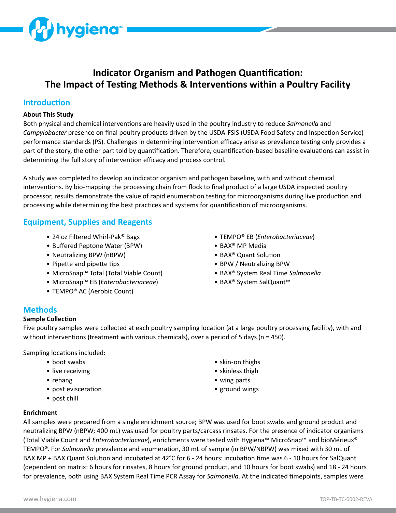

# **Indicator Organism and Pathogen Quantification: The Impact of Testing Methods & Interventions within a Poultry Facility**

### **Introduction**

#### **About This Study**

Both physical and chemical interventions are heavily used in the poultry industry to reduce *Salmonella* and *Campylobacter* presence on final poultry products driven by the USDA-FSIS (USDA Food Safety and Inspection Service) performance standards (PS). Challenges in determining intervention efficacy arise as prevalence testing only provides a part of the story, the other part told by quantification. Therefore, quantification-based baseline evaluations can assist in determining the full story of intervention efficacy and process control.

A study was completed to develop an indicator organism and pathogen baseline, with and without chemical interventions. By bio-mapping the processing chain from flock to final product of a large USDA inspected poultry processor, results demonstrate the value of rapid enumeration testing for microorganisms during live production and processing while determining the best practices and systems for quantification of microorganisms.

### **Equipment, Supplies and Reagents**

- 24 oz Filtered Whirl-Pak® Bags
- Buffered Peptone Water (BPW)
- Neutralizing BPW (nBPW)
- Pipette and pipette tips
- MicroSnap™ Total (Total Viable Count)
- MicroSnap™ EB (*Enterobacteriaceae*)
- TEMPO® AC (Aerobic Count)
- TEMPO® EB (*Enterobacteriaceae*)
- BAX® MP Media
- BAX® Quant Solution
- BPW / Neutralizing BPW
- BAX® System Real Time *Salmonella*
- BAX® System SalQuant™

### **Methods**

#### **Sample Collection**

Five poultry samples were collected at each poultry sampling location (at a large poultry processing facility), with and without interventions (treatment with various chemicals), over a period of 5 days (n = 450).

Sampling locations included:

- boot swabs
- live receiving
- rehang
- post evisceration
- post chill
- skin-on thighs
- skinless thigh
- wing parts
- ground wings

**Enrichment**

All samples were prepared from a single enrichment source; BPW was used for boot swabs and ground product and neutralizing BPW (nBPW; 400 mL) was used for poultry parts/carcass rinsates. For the presence of indicator organisms (Total Viable Count and *Enterobacteriaceae*), enrichments were tested with Hygiena™ MicroSnap™ and bioMérieux® TEMPO®. For *Salmonella* prevalence and enumeration, 30 mL of sample (in BPW/NBPW) was mixed with 30 mL of BAX MP + BAX Quant Solution and incubated at 42°C for 6 - 24 hours: incubation time was 6 - 10 hours for SalQuant (dependent on matrix: 6 hours for rinsates, 8 hours for ground product, and 10 hours for boot swabs) and 18 - 24 hours for prevalence, both using BAX System Real Time PCR Assay for *Salmonella*. At the indicated timepoints, samples were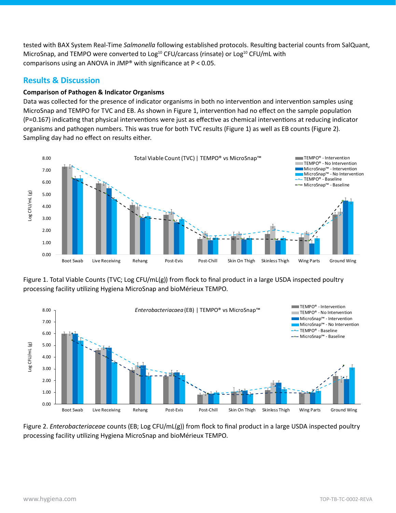tested with BAX System Real-Time *Salmonella* following established protocols. Resulting bacterial counts from SalQuant, MicroSnap, and TEMPO were converted to Log<sup>10</sup> CFU/carcass (rinsate) or Log<sup>10</sup> CFU/mL with comparisons using an ANOVA in JMP® with significance at P < 0.05.

# **Results & Discussion**

#### **Comparison of Pathogen & Indicator Organisms**

Data was collected for the presence of indicator organisms in both no intervention and intervention samples using MicroSnap and TEMPO for TVC and EB. As shown in Figure 1, intervention had no effect on the sample population (P=0.167) indicating that physical interventions were just as effective as chemical interventions at reducing indicator organisms and pathogen numbers. This was true for both TVC results (Figure 1) as well as EB counts (Figure 2). Sampling day had no effect on results either.







Figure 2. *Enterobacteriaceae* counts (EB; Log CFU/mL(g)) from flock to final product in a large USDA inspected poultry processing facility utilizing Hygiena MicroSnap and bioMérieux TEMPO.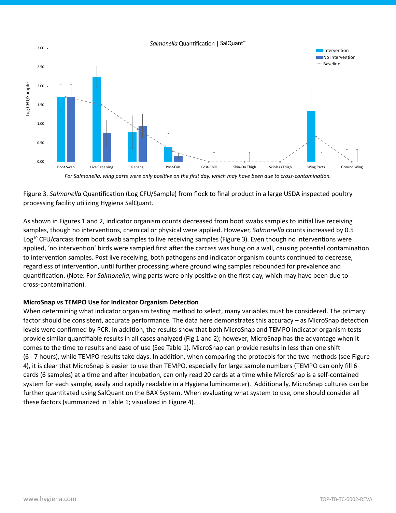

*For Salmonella, wing parts were only positive on the first day, which may have been due to cross-contamination.*

Figure 3. *Salmonella* Quantification (Log CFU/Sample) from flock to final product in a large USDA inspected poultry processing facility utilizing Hygiena SalQuant.

As shown in Figures 1 and 2, indicator organism counts decreased from boot swabs samples to initial live receiving samples, though no interventions, chemical or physical were applied. However, *Salmonella* counts increased by 0.5 Log<sup>10</sup> CFU/carcass from boot swab samples to live receiving samples (Figure 3). Even though no interventions were applied, 'no intervention' birds were sampled first after the carcass was hung on a wall, causing potential contamination to intervention samples. Post live receiving, both pathogens and indicator organism counts continued to decrease, regardless of intervention, until further processing where ground wing samples rebounded for prevalence and quantification. (Note: For *Salmonella*, wing parts were only positive on the first day, which may have been due to cross-contamination).

## **MicroSnap vs TEMPO Use for Indicator Organism Detection**

When determining what indicator organism testing method to select, many variables must be considered. The primary factor should be consistent, accurate performance. The data here demonstrates this accuracy – as MicroSnap detection levels were confirmed by PCR. In addition, the results show that both MicroSnap and TEMPO indicator organism tests provide similar quantifiable results in all cases analyzed (Fig 1 and 2); however, MicroSnap has the advantage when it comes to the time to results and ease of use (See Table 1). MicroSnap can provide results in less than one shift (6 - 7 hours), while TEMPO results take days. In addition, when comparing the protocols for the two methods (see Figure 4), it is clear that MicroSnap is easier to use than TEMPO, especially for large sample numbers (TEMPO can only fill 6 cards (6 samples) at a time and after incubation, can only read 20 cards at a time while MicroSnap is a self-contained system for each sample, easily and rapidly readable in a Hygiena luminometer). Additionally, MicroSnap cultures can be further quantitated using SalQuant on the BAX System. When evaluating what system to use, one should consider all these factors (summarized in Table 1; visualized in Figure 4).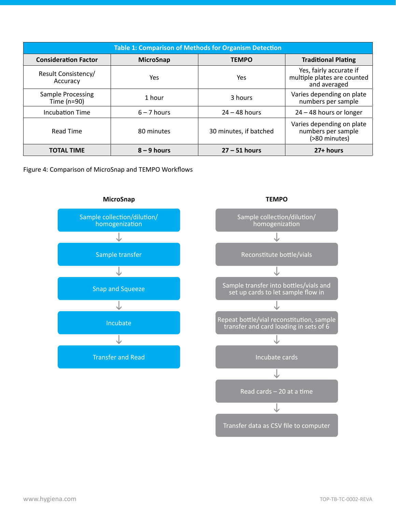| <b>Table 1: Comparison of Methods for Organism Detection</b> |                  |                        |                                                                        |
|--------------------------------------------------------------|------------------|------------------------|------------------------------------------------------------------------|
| <b>Consideration Factor</b>                                  | <b>MicroSnap</b> | <b>TEMPO</b>           | <b>Traditional Plating</b>                                             |
| Result Consistency/<br>Accuracy                              | Yes              | <b>Yes</b>             | Yes, fairly accurate if<br>multiple plates are counted<br>and averaged |
| <b>Sample Processing</b><br>Time $(n=90)$                    | 1 hour           | 3 hours                | Varies depending on plate<br>numbers per sample                        |
| <b>Incubation Time</b>                                       | $6 - 7$ hours    | $24 - 48$ hours        | $24 - 48$ hours or longer                                              |
| <b>Read Time</b>                                             | 80 minutes       | 30 minutes, if batched | Varies depending on plate<br>numbers per sample<br>(>80 minutes)       |
| <b>TOTAL TIME</b>                                            | $8 - 9$ hours    | $27 - 51$ hours        | 27+ hours                                                              |

Figure 4: Comparison of MicroSnap and TEMPO Workflows